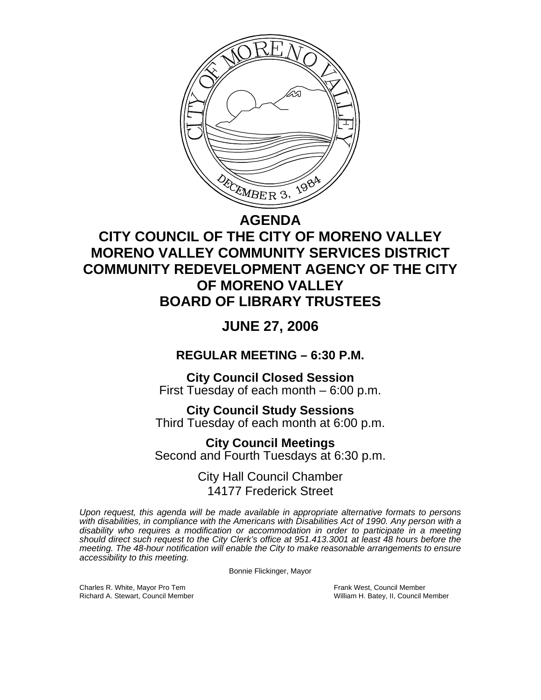

## **AGENDA CITY COUNCIL OF THE CITY OF MORENO VALLEY MORENO VALLEY COMMUNITY SERVICES DISTRICT COMMUNITY REDEVELOPMENT AGENCY OF THE CITY OF MORENO VALLEY**

# **BOARD OF LIBRARY TRUSTEES**

## **JUNE 27, 2006**

**REGULAR MEETING – 6:30 P.M.** 

**City Council Closed Session**  First Tuesday of each month – 6:00 p.m.

**City Council Study Sessions**  Third Tuesday of each month at 6:00 p.m. **City Council Meetings** 

Second and Fourth Tuesdays at 6:30 p.m.

City Hall Council Chamber 14177 Frederick Street

*Upon request, this agenda will be made available in appropriate alternative formats to persons with disabilities, in compliance with the Americans with Disabilities Act of 1990. Any person with a disability who requires a modification or accommodation in order to participate in a meeting should direct such request to the City Clerk's office at 951.413.3001 at least 48 hours before the meeting. The 48-hour notification will enable the City to make reasonable arrangements to ensure accessibility to this meeting.* 

Bonnie Flickinger, Mayor

Charles R. White, Mayor Pro Tem Frank West, Council Member<br>Richard A. Stewart, Council Member Frank West, Exercis Council Member Frank West, Council Member

William H. Batey, II, Council Member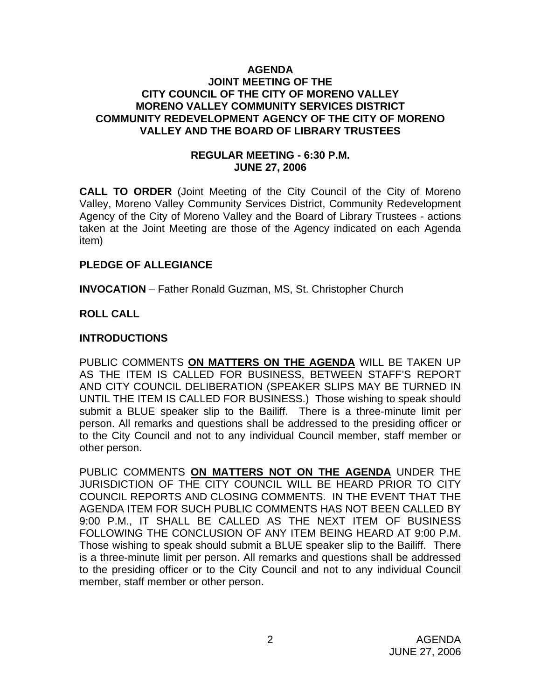### **AGENDA JOINT MEETING OF THE CITY COUNCIL OF THE CITY OF MORENO VALLEY MORENO VALLEY COMMUNITY SERVICES DISTRICT COMMUNITY REDEVELOPMENT AGENCY OF THE CITY OF MORENO VALLEY AND THE BOARD OF LIBRARY TRUSTEES**

## **REGULAR MEETING - 6:30 P.M. JUNE 27, 2006**

**CALL TO ORDER** (Joint Meeting of the City Council of the City of Moreno Valley, Moreno Valley Community Services District, Community Redevelopment Agency of the City of Moreno Valley and the Board of Library Trustees - actions taken at the Joint Meeting are those of the Agency indicated on each Agenda item)

## **PLEDGE OF ALLEGIANCE**

**INVOCATION** – Father Ronald Guzman, MS, St. Christopher Church

## **ROLL CALL**

#### **INTRODUCTIONS**

PUBLIC COMMENTS **ON MATTERS ON THE AGENDA** WILL BE TAKEN UP AS THE ITEM IS CALLED FOR BUSINESS, BETWEEN STAFF'S REPORT AND CITY COUNCIL DELIBERATION (SPEAKER SLIPS MAY BE TURNED IN UNTIL THE ITEM IS CALLED FOR BUSINESS.) Those wishing to speak should submit a BLUE speaker slip to the Bailiff. There is a three-minute limit per person. All remarks and questions shall be addressed to the presiding officer or to the City Council and not to any individual Council member, staff member or other person.

PUBLIC COMMENTS **ON MATTERS NOT ON THE AGENDA** UNDER THE JURISDICTION OF THE CITY COUNCIL WILL BE HEARD PRIOR TO CITY COUNCIL REPORTS AND CLOSING COMMENTS. IN THE EVENT THAT THE AGENDA ITEM FOR SUCH PUBLIC COMMENTS HAS NOT BEEN CALLED BY 9:00 P.M., IT SHALL BE CALLED AS THE NEXT ITEM OF BUSINESS FOLLOWING THE CONCLUSION OF ANY ITEM BEING HEARD AT 9:00 P.M. Those wishing to speak should submit a BLUE speaker slip to the Bailiff. There is a three-minute limit per person. All remarks and questions shall be addressed to the presiding officer or to the City Council and not to any individual Council member, staff member or other person.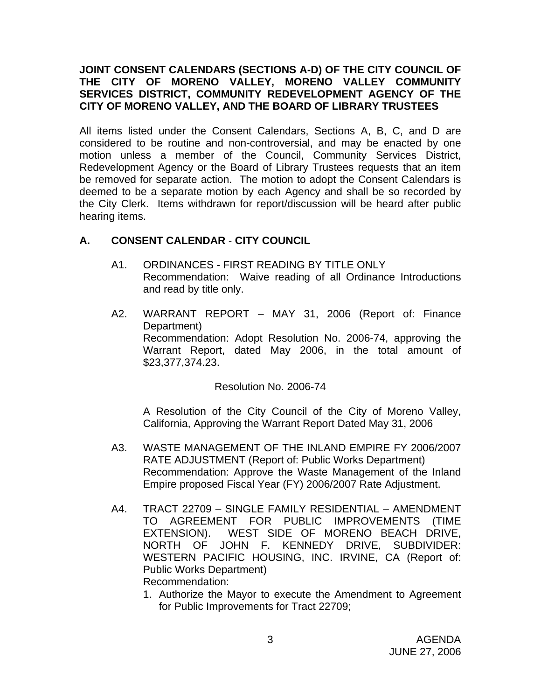## **JOINT CONSENT CALENDARS (SECTIONS A-D) OF THE CITY COUNCIL OF THE CITY OF MORENO VALLEY, MORENO VALLEY COMMUNITY SERVICES DISTRICT, COMMUNITY REDEVELOPMENT AGENCY OF THE CITY OF MORENO VALLEY, AND THE BOARD OF LIBRARY TRUSTEES**

All items listed under the Consent Calendars, Sections A, B, C, and D are considered to be routine and non-controversial, and may be enacted by one motion unless a member of the Council, Community Services District, Redevelopment Agency or the Board of Library Trustees requests that an item be removed for separate action. The motion to adopt the Consent Calendars is deemed to be a separate motion by each Agency and shall be so recorded by the City Clerk. Items withdrawn for report/discussion will be heard after public hearing items.

## **A. CONSENT CALENDAR** - **CITY COUNCIL**

- A1. ORDINANCES FIRST READING BY TITLE ONLY Recommendation: Waive reading of all Ordinance Introductions and read by title only.
- A2. WARRANT REPORT MAY 31, 2006 (Report of: Finance Department) Recommendation: Adopt Resolution No. 2006-74, approving the Warrant Report, dated May 2006, in the total amount of \$23,377,374.23.

## Resolution No. 2006-74

 A Resolution of the City Council of the City of Moreno Valley, California, Approving the Warrant Report Dated May 31, 2006

- A3. WASTE MANAGEMENT OF THE INLAND EMPIRE FY 2006/2007 RATE ADJUSTMENT (Report of: Public Works Department) Recommendation: Approve the Waste Management of the Inland Empire proposed Fiscal Year (FY) 2006/2007 Rate Adjustment.
- A4. TRACT 22709 SINGLE FAMILY RESIDENTIAL AMENDMENT TO AGREEMENT FOR PUBLIC IMPROVEMENTS (TIME EXTENSION). WEST SIDE OF MORENO BEACH DRIVE, NORTH OF JOHN F. KENNEDY DRIVE, SUBDIVIDER: WESTERN PACIFIC HOUSING, INC. IRVINE, CA (Report of: Public Works Department) Recommendation:
	- 1. Authorize the Mayor to execute the Amendment to Agreement for Public Improvements for Tract 22709;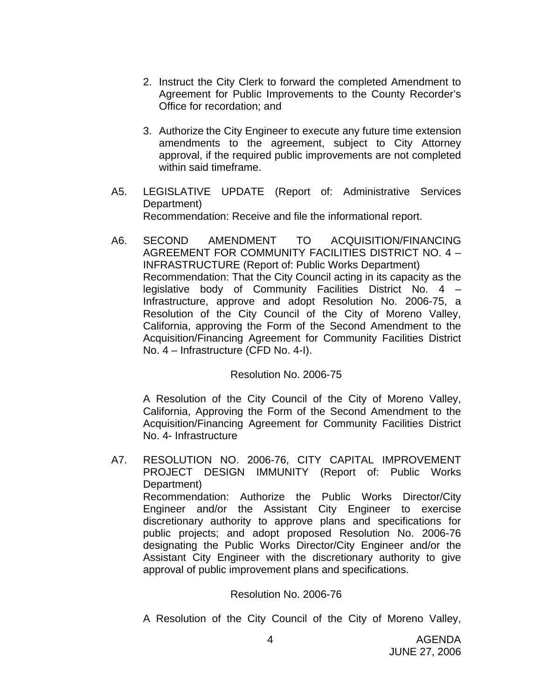- 2. Instruct the City Clerk to forward the completed Amendment to Agreement for Public Improvements to the County Recorder's Office for recordation; and
- 3. Authorize the City Engineer to execute any future time extension amendments to the agreement, subject to City Attorney approval, if the required public improvements are not completed within said timeframe.
- A5. LEGISLATIVE UPDATE (Report of: Administrative Services Department) Recommendation: Receive and file the informational report.
- A6. SECOND AMENDMENT TO ACQUISITION/FINANCING AGREEMENT FOR COMMUNITY FACILITIES DISTRICT NO. 4 – INFRASTRUCTURE (Report of: Public Works Department) Recommendation: That the City Council acting in its capacity as the legislative body of Community Facilities District No. 4 – Infrastructure, approve and adopt Resolution No. 2006-75, a Resolution of the City Council of the City of Moreno Valley, California, approving the Form of the Second Amendment to the Acquisition/Financing Agreement for Community Facilities District No. 4 – Infrastructure (CFD No. 4-I).

## Resolution No. 2006-75

 A Resolution of the City Council of the City of Moreno Valley, California, Approving the Form of the Second Amendment to the Acquisition/Financing Agreement for Community Facilities District No. 4- Infrastructure

A7. RESOLUTION NO. 2006-76, CITY CAPITAL IMPROVEMENT PROJECT DESIGN IMMUNITY (Report of: Public Works Department) Recommendation: Authorize the Public Works Director/City Engineer and/or the Assistant City Engineer to exercise discretionary authority to approve plans and specifications for public projects; and adopt proposed Resolution No. 2006-76 designating the Public Works Director/City Engineer and/or the Assistant City Engineer with the discretionary authority to give approval of public improvement plans and specifications.

## Resolution No. 2006-76

A Resolution of the City Council of the City of Moreno Valley,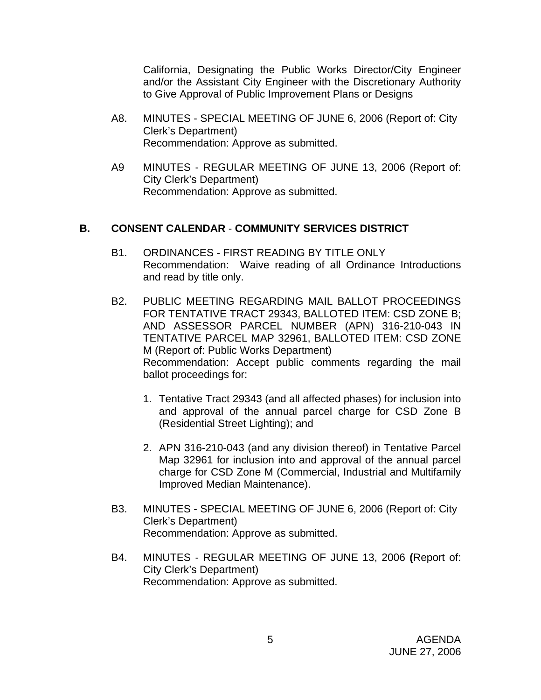California, Designating the Public Works Director/City Engineer and/or the Assistant City Engineer with the Discretionary Authority to Give Approval of Public Improvement Plans or Designs

- A8. MINUTES SPECIAL MEETING OF JUNE 6, 2006 (Report of: City Clerk's Department) Recommendation: Approve as submitted.
- A9 MINUTES REGULAR MEETING OF JUNE 13, 2006 (Report of: City Clerk's Department) Recommendation: Approve as submitted.

## **B. CONSENT CALENDAR** - **COMMUNITY SERVICES DISTRICT**

- B1. ORDINANCES FIRST READING BY TITLE ONLY Recommendation: Waive reading of all Ordinance Introductions and read by title only.
- B2. PUBLIC MEETING REGARDING MAIL BALLOT PROCEEDINGS FOR TENTATIVE TRACT 29343, BALLOTED ITEM: CSD ZONE B; AND ASSESSOR PARCEL NUMBER (APN) 316-210-043 IN TENTATIVE PARCEL MAP 32961, BALLOTED ITEM: CSD ZONE M (Report of: Public Works Department) Recommendation: Accept public comments regarding the mail ballot proceedings for:
	- 1. Tentative Tract 29343 (and all affected phases) for inclusion into and approval of the annual parcel charge for CSD Zone B (Residential Street Lighting); and
	- 2. APN 316-210-043 (and any division thereof) in Tentative Parcel Map 32961 for inclusion into and approval of the annual parcel charge for CSD Zone M (Commercial, Industrial and Multifamily Improved Median Maintenance).
- B3. MINUTES SPECIAL MEETING OF JUNE 6, 2006 (Report of: City Clerk's Department) Recommendation: Approve as submitted.
- B4. MINUTES REGULAR MEETING OF JUNE 13, 2006 **(**Report of: City Clerk's Department) Recommendation: Approve as submitted.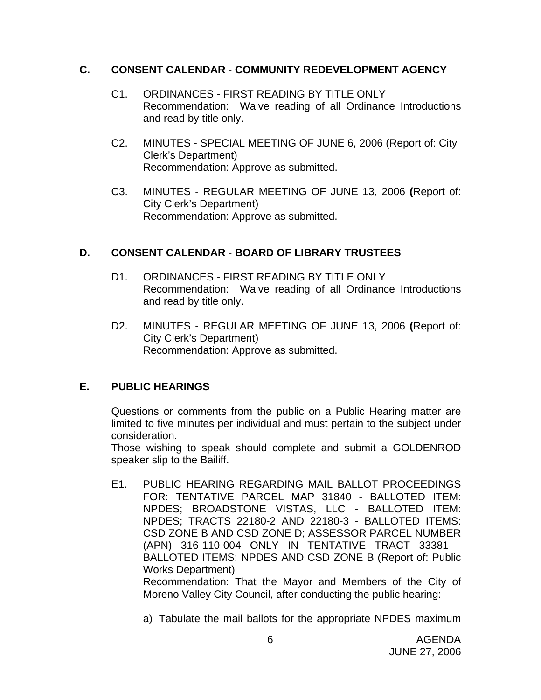## **C. CONSENT CALENDAR** - **COMMUNITY REDEVELOPMENT AGENCY**

- C1. ORDINANCES FIRST READING BY TITLE ONLY Recommendation: Waive reading of all Ordinance Introductions and read by title only.
- C2. MINUTES SPECIAL MEETING OF JUNE 6, 2006 (Report of: City Clerk's Department) Recommendation: Approve as submitted.
- C3. MINUTES REGULAR MEETING OF JUNE 13, 2006 **(**Report of: City Clerk's Department) Recommendation: Approve as submitted.

## **D. CONSENT CALENDAR** - **BOARD OF LIBRARY TRUSTEES**

- D1. ORDINANCES FIRST READING BY TITLE ONLY Recommendation: Waive reading of all Ordinance Introductions and read by title only.
- D2. MINUTES REGULAR MEETING OF JUNE 13, 2006 **(**Report of: City Clerk's Department) Recommendation: Approve as submitted.

## **E. PUBLIC HEARINGS**

Questions or comments from the public on a Public Hearing matter are limited to five minutes per individual and must pertain to the subject under consideration.

 Those wishing to speak should complete and submit a GOLDENROD speaker slip to the Bailiff.

E1. PUBLIC HEARING REGARDING MAIL BALLOT PROCEEDINGS FOR: TENTATIVE PARCEL MAP 31840 - BALLOTED ITEM: NPDES; BROADSTONE VISTAS, LLC - BALLOTED ITEM: NPDES; TRACTS 22180-2 AND 22180-3 - BALLOTED ITEMS: CSD ZONE B AND CSD ZONE D; ASSESSOR PARCEL NUMBER (APN) 316-110-004 ONLY IN TENTATIVE TRACT 33381 - BALLOTED ITEMS: NPDES AND CSD ZONE B (Report of: Public Works Department) Recommendation: That the Mayor and Members of the City of

a) Tabulate the mail ballots for the appropriate NPDES maximum

Moreno Valley City Council, after conducting the public hearing: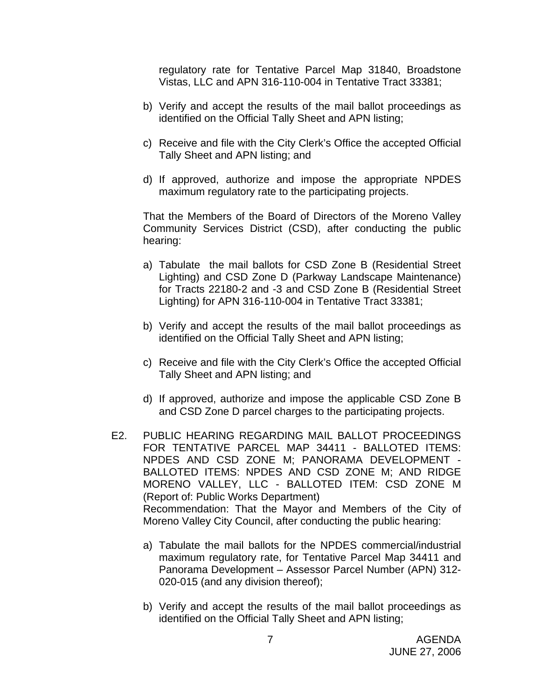regulatory rate for Tentative Parcel Map 31840, Broadstone Vistas, LLC and APN 316-110-004 in Tentative Tract 33381;

- b) Verify and accept the results of the mail ballot proceedings as identified on the Official Tally Sheet and APN listing;
- c) Receive and file with the City Clerk's Office the accepted Official Tally Sheet and APN listing; and
- d) If approved, authorize and impose the appropriate NPDES maximum regulatory rate to the participating projects.

That the Members of the Board of Directors of the Moreno Valley Community Services District (CSD), after conducting the public hearing:

- a) Tabulate the mail ballots for CSD Zone B (Residential Street Lighting) and CSD Zone D (Parkway Landscape Maintenance) for Tracts 22180-2 and -3 and CSD Zone B (Residential Street Lighting) for APN 316-110-004 in Tentative Tract 33381;
- b) Verify and accept the results of the mail ballot proceedings as identified on the Official Tally Sheet and APN listing;
- c) Receive and file with the City Clerk's Office the accepted Official Tally Sheet and APN listing; and
- d) If approved, authorize and impose the applicable CSD Zone B and CSD Zone D parcel charges to the participating projects.
- E2. PUBLIC HEARING REGARDING MAIL BALLOT PROCEEDINGS FOR TENTATIVE PARCEL MAP 34411 - BALLOTED ITEMS: NPDES AND CSD ZONE M; PANORAMA DEVELOPMENT - BALLOTED ITEMS: NPDES AND CSD ZONE M; AND RIDGE MORENO VALLEY, LLC - BALLOTED ITEM: CSD ZONE M (Report of: Public Works Department) Recommendation: That the Mayor and Members of the City of Moreno Valley City Council, after conducting the public hearing:
	- a) Tabulate the mail ballots for the NPDES commercial/industrial maximum regulatory rate, for Tentative Parcel Map 34411 and Panorama Development – Assessor Parcel Number (APN) 312- 020-015 (and any division thereof);
	- b) Verify and accept the results of the mail ballot proceedings as identified on the Official Tally Sheet and APN listing;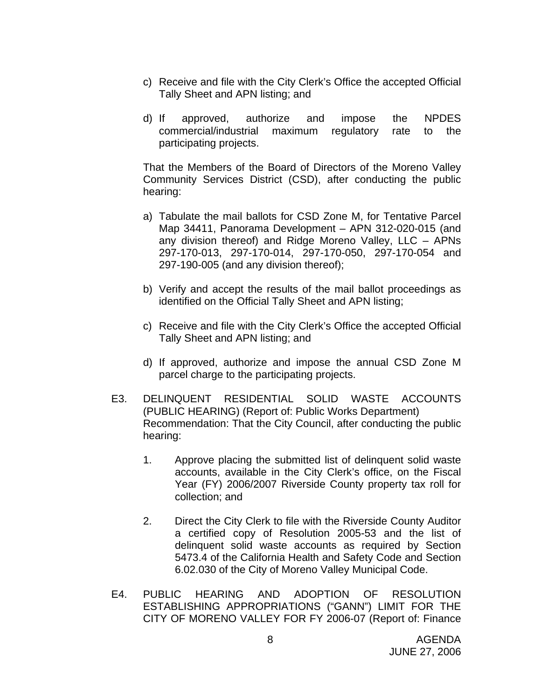- c) Receive and file with the City Clerk's Office the accepted Official Tally Sheet and APN listing; and
- d) If approved, authorize and impose the NPDES commercial/industrial maximum regulatory rate to the participating projects.

That the Members of the Board of Directors of the Moreno Valley Community Services District (CSD), after conducting the public hearing:

- a) Tabulate the mail ballots for CSD Zone M, for Tentative Parcel Map 34411, Panorama Development – APN 312-020-015 (and any division thereof) and Ridge Moreno Valley, LLC – APNs 297-170-013, 297-170-014, 297-170-050, 297-170-054 and 297-190-005 (and any division thereof);
- b) Verify and accept the results of the mail ballot proceedings as identified on the Official Tally Sheet and APN listing;
- c) Receive and file with the City Clerk's Office the accepted Official Tally Sheet and APN listing; and
- d) If approved, authorize and impose the annual CSD Zone M parcel charge to the participating projects.
- E3. DELINQUENT RESIDENTIAL SOLID WASTE ACCOUNTS (PUBLIC HEARING) (Report of: Public Works Department) Recommendation: That the City Council, after conducting the public hearing:
	- 1. Approve placing the submitted list of delinquent solid waste accounts, available in the City Clerk's office, on the Fiscal Year (FY) 2006/2007 Riverside County property tax roll for collection; and
	- 2. Direct the City Clerk to file with the Riverside County Auditor a certified copy of Resolution 2005-53 and the list of delinquent solid waste accounts as required by Section 5473.4 of the California Health and Safety Code and Section 6.02.030 of the City of Moreno Valley Municipal Code.
- E4. PUBLIC HEARING AND ADOPTION OF RESOLUTION ESTABLISHING APPROPRIATIONS ("GANN") LIMIT FOR THE CITY OF MORENO VALLEY FOR FY 2006-07 (Report of: Finance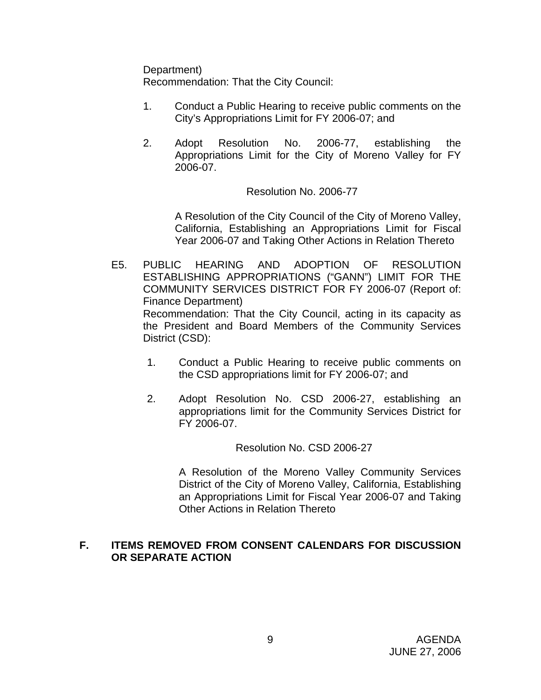Department)

Recommendation: That the City Council:

- 1. Conduct a Public Hearing to receive public comments on the City's Appropriations Limit for FY 2006-07; and
- 2. Adopt Resolution No. 2006-77, establishing the Appropriations Limit for the City of Moreno Valley for FY 2006-07.

## Resolution No. 2006-77

 A Resolution of the City Council of the City of Moreno Valley, California, Establishing an Appropriations Limit for Fiscal Year 2006-07 and Taking Other Actions in Relation Thereto

- E5. PUBLIC HEARING AND ADOPTION OF RESOLUTION ESTABLISHING APPROPRIATIONS ("GANN") LIMIT FOR THE COMMUNITY SERVICES DISTRICT FOR FY 2006-07 (Report of: Finance Department) Recommendation: That the City Council, acting in its capacity as the President and Board Members of the Community Services District (CSD):
	- 1. Conduct a Public Hearing to receive public comments on the CSD appropriations limit for FY 2006-07; and
	- 2. Adopt Resolution No. CSD 2006-27, establishing an appropriations limit for the Community Services District for FY 2006-07.

#### Resolution No. CSD 2006-27

 A Resolution of the Moreno Valley Community Services District of the City of Moreno Valley, California, Establishing an Appropriations Limit for Fiscal Year 2006-07 and Taking Other Actions in Relation Thereto

## **F. ITEMS REMOVED FROM CONSENT CALENDARS FOR DISCUSSION OR SEPARATE ACTION**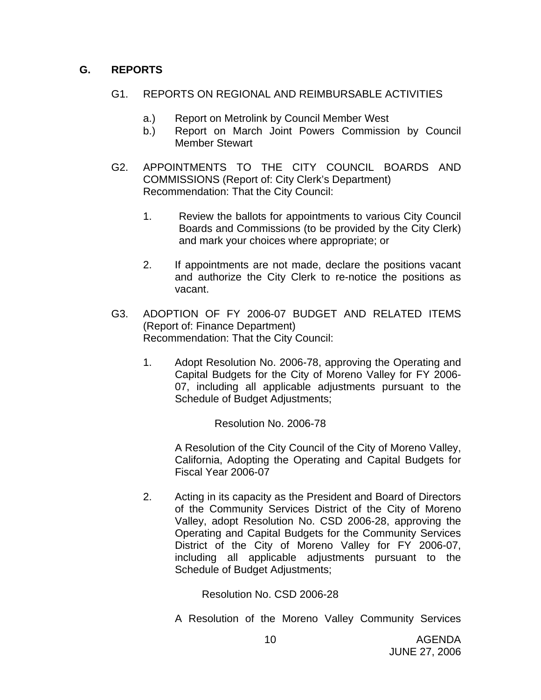## **G. REPORTS**

### G1. REPORTS ON REGIONAL AND REIMBURSABLE ACTIVITIES

- a.) Report on Metrolink by Council Member West
- b.) Report on March Joint Powers Commission by Council Member Stewart
- G2. APPOINTMENTS TO THE CITY COUNCIL BOARDS AND COMMISSIONS (Report of: City Clerk's Department) Recommendation: That the City Council:
	- 1. Review the ballots for appointments to various City Council Boards and Commissions (to be provided by the City Clerk) and mark your choices where appropriate; or
	- 2. If appointments are not made, declare the positions vacant and authorize the City Clerk to re-notice the positions as vacant.
- G3. ADOPTION OF FY 2006-07 BUDGET AND RELATED ITEMS (Report of: Finance Department) Recommendation: That the City Council:
	- 1. Adopt Resolution No. 2006-78, approving the Operating and Capital Budgets for the City of Moreno Valley for FY 2006- 07, including all applicable adjustments pursuant to the Schedule of Budget Adjustments;

Resolution No. 2006-78

A Resolution of the City Council of the City of Moreno Valley, California, Adopting the Operating and Capital Budgets for Fiscal Year 2006-07

2. Acting in its capacity as the President and Board of Directors of the Community Services District of the City of Moreno Valley, adopt Resolution No. CSD 2006-28, approving the Operating and Capital Budgets for the Community Services District of the City of Moreno Valley for FY 2006-07, including all applicable adjustments pursuant to the Schedule of Budget Adjustments;

Resolution No. CSD 2006-28

A Resolution of the Moreno Valley Community Services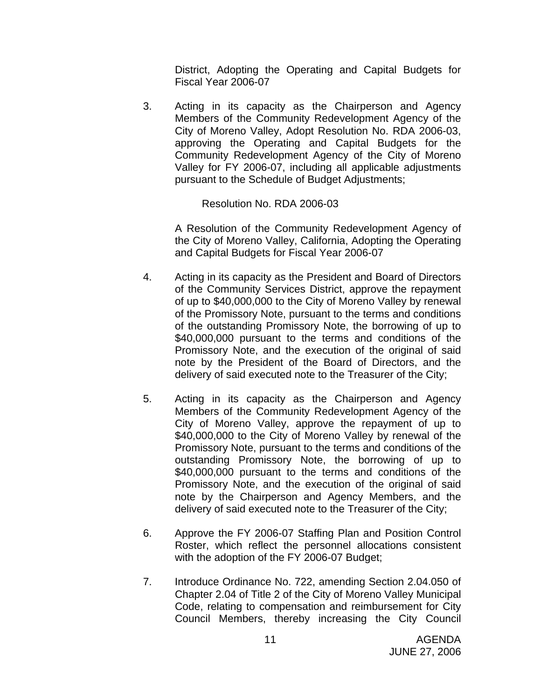District, Adopting the Operating and Capital Budgets for Fiscal Year 2006-07

3. Acting in its capacity as the Chairperson and Agency Members of the Community Redevelopment Agency of the City of Moreno Valley, Adopt Resolution No. RDA 2006-03, approving the Operating and Capital Budgets for the Community Redevelopment Agency of the City of Moreno Valley for FY 2006-07, including all applicable adjustments pursuant to the Schedule of Budget Adjustments;

Resolution No. RDA 2006-03

A Resolution of the Community Redevelopment Agency of the City of Moreno Valley, California, Adopting the Operating and Capital Budgets for Fiscal Year 2006-07

- 4. Acting in its capacity as the President and Board of Directors of the Community Services District, approve the repayment of up to \$40,000,000 to the City of Moreno Valley by renewal of the Promissory Note, pursuant to the terms and conditions of the outstanding Promissory Note, the borrowing of up to \$40,000,000 pursuant to the terms and conditions of the Promissory Note, and the execution of the original of said note by the President of the Board of Directors, and the delivery of said executed note to the Treasurer of the City;
- 5. Acting in its capacity as the Chairperson and Agency Members of the Community Redevelopment Agency of the City of Moreno Valley, approve the repayment of up to \$40,000,000 to the City of Moreno Valley by renewal of the Promissory Note, pursuant to the terms and conditions of the outstanding Promissory Note, the borrowing of up to \$40,000,000 pursuant to the terms and conditions of the Promissory Note, and the execution of the original of said note by the Chairperson and Agency Members, and the delivery of said executed note to the Treasurer of the City;
- 6. Approve the FY 2006-07 Staffing Plan and Position Control Roster, which reflect the personnel allocations consistent with the adoption of the FY 2006-07 Budget;
- 7. Introduce Ordinance No. 722, amending Section 2.04.050 of Chapter 2.04 of Title 2 of the City of Moreno Valley Municipal Code, relating to compensation and reimbursement for City Council Members, thereby increasing the City Council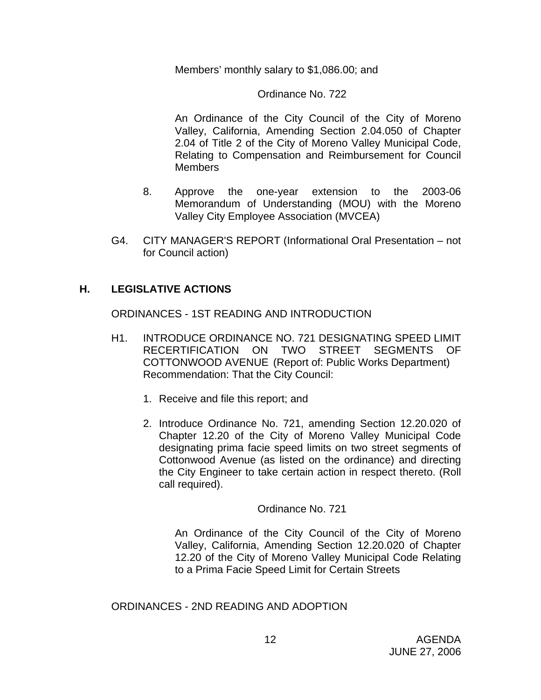Members' monthly salary to \$1,086.00; and

### Ordinance No. 722

An Ordinance of the City Council of the City of Moreno Valley, California, Amending Section 2.04.050 of Chapter 2.04 of Title 2 of the City of Moreno Valley Municipal Code, Relating to Compensation and Reimbursement for Council Members

- 8. Approve the one-year extension to the 2003-06 Memorandum of Understanding (MOU) with the Moreno Valley City Employee Association (MVCEA)
- G4. CITY MANAGER'S REPORT (Informational Oral Presentation not for Council action)

## **H. LEGISLATIVE ACTIONS**

ORDINANCES - 1ST READING AND INTRODUCTION

- H1. INTRODUCE ORDINANCE NO. 721 DESIGNATING SPEED LIMIT RECERTIFICATION ON TWO STREET SEGMENTS OF COTTONWOOD AVENUE (Report of: Public Works Department) Recommendation: That the City Council:
	- 1. Receive and file this report; and
	- 2. Introduce Ordinance No. 721, amending Section 12.20.020 of Chapter 12.20 of the City of Moreno Valley Municipal Code designating prima facie speed limits on two street segments of Cottonwood Avenue (as listed on the ordinance) and directing the City Engineer to take certain action in respect thereto. (Roll call required).

#### Ordinance No. 721

An Ordinance of the City Council of the City of Moreno Valley, California, Amending Section 12.20.020 of Chapter 12.20 of the City of Moreno Valley Municipal Code Relating to a Prima Facie Speed Limit for Certain Streets

ORDINANCES - 2ND READING AND ADOPTION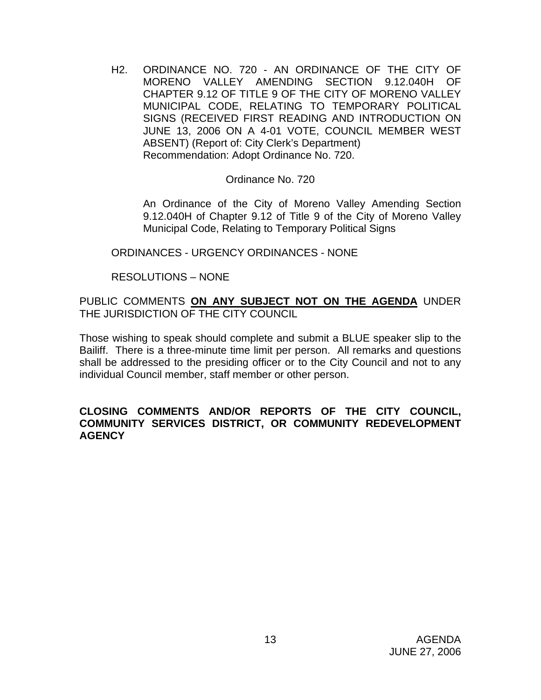H2. ORDINANCE NO. 720 - AN ORDINANCE OF THE CITY OF MORENO VALLEY AMENDING SECTION 9.12.040H OF CHAPTER 9.12 OF TITLE 9 OF THE CITY OF MORENO VALLEY MUNICIPAL CODE, RELATING TO TEMPORARY POLITICAL SIGNS (RECEIVED FIRST READING AND INTRODUCTION ON JUNE 13, 2006 ON A 4-01 VOTE, COUNCIL MEMBER WEST ABSENT) (Report of: City Clerk's Department) Recommendation: Adopt Ordinance No. 720.

#### Ordinance No. 720

 An Ordinance of the City of Moreno Valley Amending Section 9.12.040H of Chapter 9.12 of Title 9 of the City of Moreno Valley Municipal Code, Relating to Temporary Political Signs

#### ORDINANCES - URGENCY ORDINANCES - NONE

## RESOLUTIONS – NONE

PUBLIC COMMENTS **ON ANY SUBJECT NOT ON THE AGENDA** UNDER THE JURISDICTION OF THE CITY COUNCIL

Those wishing to speak should complete and submit a BLUE speaker slip to the Bailiff. There is a three-minute time limit per person. All remarks and questions shall be addressed to the presiding officer or to the City Council and not to any individual Council member, staff member or other person.

#### **CLOSING COMMENTS AND/OR REPORTS OF THE CITY COUNCIL, COMMUNITY SERVICES DISTRICT, OR COMMUNITY REDEVELOPMENT AGENCY**